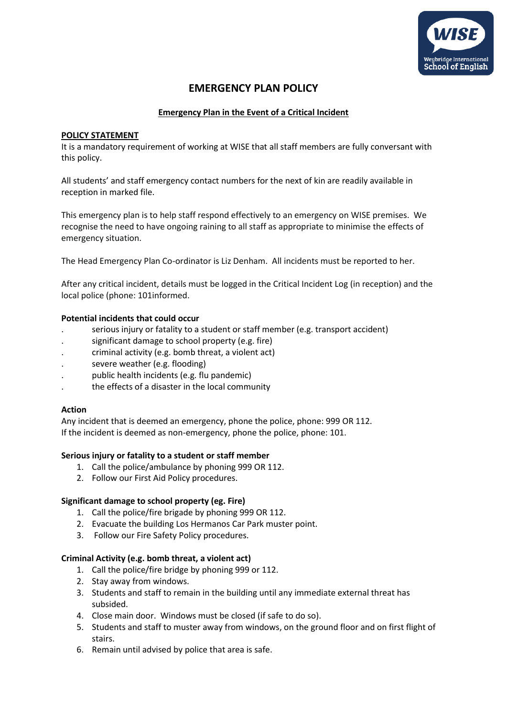

# **EMERGENCY PLAN POLICY**

# **Emergency Plan in the Event of a Critical Incident**

# **POLICY STATEMENT**

It is a mandatory requirement of working at WISE that all staff members are fully conversant with this policy.

All students' and staff emergency contact numbers for the next of kin are readily available in reception in marked file.

This emergency plan is to help staff respond effectively to an emergency on WISE premises. We recognise the need to have ongoing raining to all staff as appropriate to minimise the effects of emergency situation.

The Head Emergency Plan Co-ordinator is Liz Denham. All incidents must be reported to her.

After any critical incident, details must be logged in the Critical Incident Log (in reception) and the local police (phone: 101informed.

# **Potential incidents that could occur**

- . serious injury or fatality to a student or staff member (e.g. transport accident)
- significant damage to school property (e.g. fire)
- . criminal activity (e.g. bomb threat, a violent act)
- . severe weather (e.g. flooding)
- . public health incidents (e.g. flu pandemic)
- . the effects of a disaster in the local community

#### **Action**

Any incident that is deemed an emergency, phone the police, phone: 999 OR 112. If the incident is deemed as non-emergency, phone the police, phone: 101.

#### **Serious injury or fatality to a student or staff member**

- 1. Call the police/ambulance by phoning 999 OR 112.
- 2. Follow our First Aid Policy procedures.

#### **Significant damage to school property (eg. Fire)**

- 1. Call the police/fire brigade by phoning 999 OR 112.
- 2. Evacuate the building Los Hermanos Car Park muster point.
- 3. Follow our Fire Safety Policy procedures.

#### **Criminal Activity (e.g. bomb threat, a violent act)**

- 1. Call the police/fire bridge by phoning 999 or 112.
- 2. Stay away from windows.
- 3. Students and staff to remain in the building until any immediate external threat has subsided.
- 4. Close main door. Windows must be closed (if safe to do so).
- 5. Students and staff to muster away from windows, on the ground floor and on first flight of stairs.
- 6. Remain until advised by police that area is safe.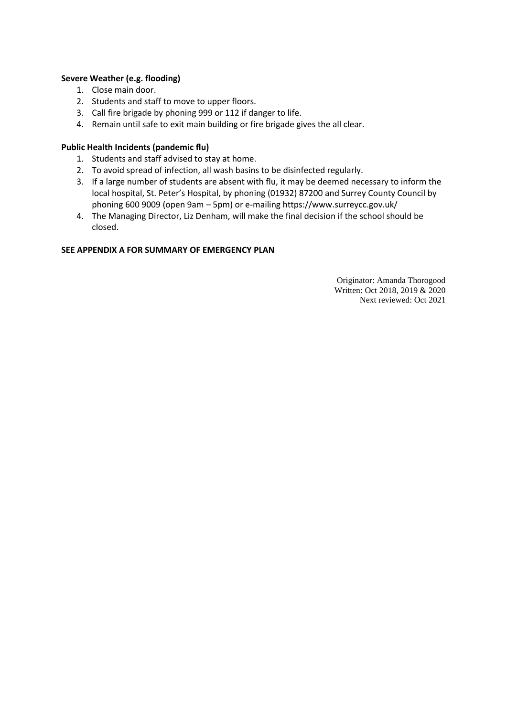# **Severe Weather (e.g. flooding)**

- 1. Close main door.
- 2. Students and staff to move to upper floors.
- 3. Call fire brigade by phoning 999 or 112 if danger to life.
- 4. Remain until safe to exit main building or fire brigade gives the all clear.

# **Public Health Incidents (pandemic flu)**

- 1. Students and staff advised to stay at home.
- 2. To avoid spread of infection, all wash basins to be disinfected regularly.
- 3. If a large number of students are absent with flu, it may be deemed necessary to inform the local hospital, St. Peter's Hospital, by phoning (01932) 87200 and Surrey County Council by phoning 600 9009 (open 9am – 5pm) or e-mailing https://www.surreycc.gov.uk/
- 4. The Managing Director, Liz Denham, will make the final decision if the school should be closed.

#### **SEE APPENDIX A FOR SUMMARY OF EMERGENCY PLAN**

Originator: Amanda Thorogood Written: Oct 2018, 2019 & 2020 Next reviewed: Oct 2021